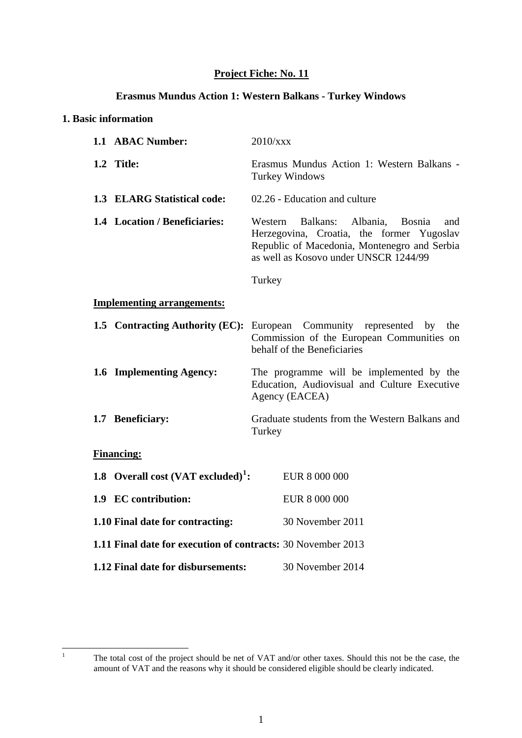# **Project Fiche: No. 11**

#### **Erasmus Mundus Action 1: Western Balkans - Turkey Windows**

#### **1. Basic information**

| 1.1 ABAC Number:                                             | 2010/xxx                                                                                                                                                                                      |  |  |
|--------------------------------------------------------------|-----------------------------------------------------------------------------------------------------------------------------------------------------------------------------------------------|--|--|
| 1.2 Title:                                                   | Erasmus Mundus Action 1: Western Balkans -<br><b>Turkey Windows</b>                                                                                                                           |  |  |
| 1.3 ELARG Statistical code:                                  | 02.26 - Education and culture                                                                                                                                                                 |  |  |
| 1.4 Location / Beneficiaries:                                | Balkans:<br>Western<br>Albania,<br><b>Bosnia</b><br>and<br>Herzegovina, Croatia, the former Yugoslav<br>Republic of Macedonia, Montenegro and Serbia<br>as well as Kosovo under UNSCR 1244/99 |  |  |
|                                                              | Turkey                                                                                                                                                                                        |  |  |
| <b>Implementing arrangements:</b>                            |                                                                                                                                                                                               |  |  |
| 1.5 Contracting Authority (EC):                              | European Community represented by the<br>Commission of the European Communities on<br>behalf of the Beneficiaries                                                                             |  |  |
| 1.6 Implementing Agency:                                     | The programme will be implemented by the<br>Education, Audiovisual and Culture Executive<br>Agency (EACEA)                                                                                    |  |  |
| 1.7 Beneficiary:                                             | Graduate students from the Western Balkans and<br>Turkey                                                                                                                                      |  |  |
| <b>Financing:</b>                                            |                                                                                                                                                                                               |  |  |
| 1.8 Overall cost $(VAT \, excluded)^1$ :                     | EUR 8 000 000                                                                                                                                                                                 |  |  |
| 1.9 EC contribution:                                         | EUR 8 000 000                                                                                                                                                                                 |  |  |
| 1.10 Final date for contracting:                             | 30 November 2011                                                                                                                                                                              |  |  |
| 1.11 Final date for execution of contracts: 30 November 2013 |                                                                                                                                                                                               |  |  |
| 1.12 Final date for disbursements:                           | 30 November 2014                                                                                                                                                                              |  |  |

<span id="page-0-0"></span> $\frac{1}{1}$ 

The total cost of the project should be net of VAT and/or other taxes. Should this not be the case, the amount of VAT and the reasons why it should be considered eligible should be clearly indicated.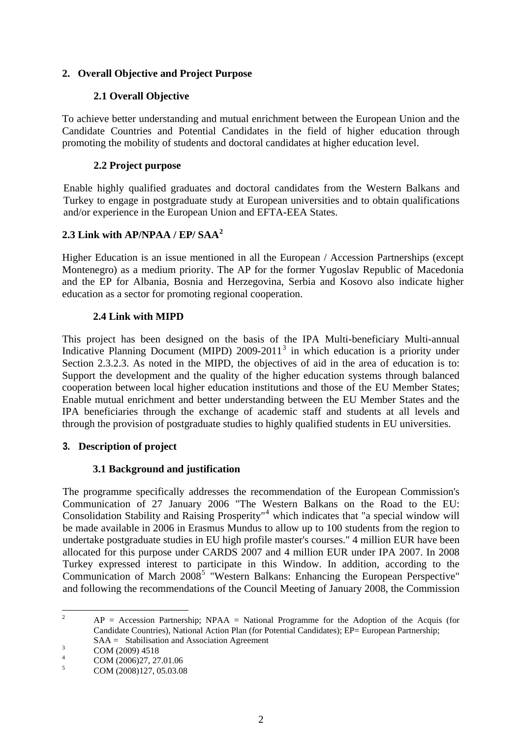### **2. Overall Objective and Project Purpose**

### **2.1 Overall Objective**

To achieve better understanding and mutual enrichment between the European Union and the Candidate Countries and Potential Candidates in the field of higher education through promoting the mobility of students and doctoral candidates at higher education level.

### **2.2 Project purpose**

Enable highly qualified graduates and doctoral candidates from the Western Balkans and Turkey to engage in postgraduate study at European universities and to obtain qualifications and/or experience in the European Union and EFTA-EEA States.

### **2.3 Link with AP/NPAA / EP/ SAA[2](#page-1-0)**

Higher Education is an issue mentioned in all the European / Accession Partnerships (except Montenegro) as a medium priority. The AP for the former Yugoslav Republic of Macedonia and the EP for Albania, Bosnia and Herzegovina, Serbia and Kosovo also indicate higher education as a sector for promoting regional cooperation.

### **2.4 Link with MIPD**

This project has been designed on the basis of the IPA Multi-beneficiary Multi-annual Indicative Planning Document (MIPD) 2009-2011<sup>[3](#page-1-1)</sup> in which education is a priority under Section 2.3.2.3. As noted in the MIPD, the objectives of aid in the area of education is to: Support the development and the quality of the higher education systems through balanced cooperation between local higher education institutions and those of the EU Member States; Enable mutual enrichment and better understanding between the EU Member States and the IPA beneficiaries through the exchange of academic staff and students at all levels and through the provision of postgraduate studies to highly qualified students in EU universities.

### **3. Description of project**

### **3.1 Background and justification**

The programme specifically addresses the recommendation of the European Commission's Communication of 27 January 2006 "The Western Balkans on the Road to the EU: Consolidation Stability and Raising Prosperity<sup>"[4](#page-1-2)</sup> which indicates that "a special window will be made available in 2006 in Erasmus Mundus to allow up to 100 students from the region to undertake postgraduate studies in EU high profile master's courses." 4 million EUR have been allocated for this purpose under CARDS 2007 and 4 million EUR under IPA 2007. In 2008 Turkey expressed interest to participate in this Window. In addition, according to the Communication of March  $2008^5$  $2008^5$  "Western Balkans: Enhancing the European Perspective" and following the recommendations of the Council Meeting of January 2008, the Commission

 $\frac{1}{2}$  $AP = Accession$  Partnership: NPAA = National Programme for the Adoption of the Acquis (for Candidate Countries), National Action Plan (for Potential Candidates); EP= European Partnership; SAA = Stabilisation and Association Agreement

<sup>3</sup> COM (2009) 4518

<sup>4</sup> COM (2006)27, 27.01.06

<span id="page-1-3"></span><span id="page-1-2"></span><span id="page-1-1"></span><span id="page-1-0"></span><sup>5</sup> COM (2008)127, 05.03.08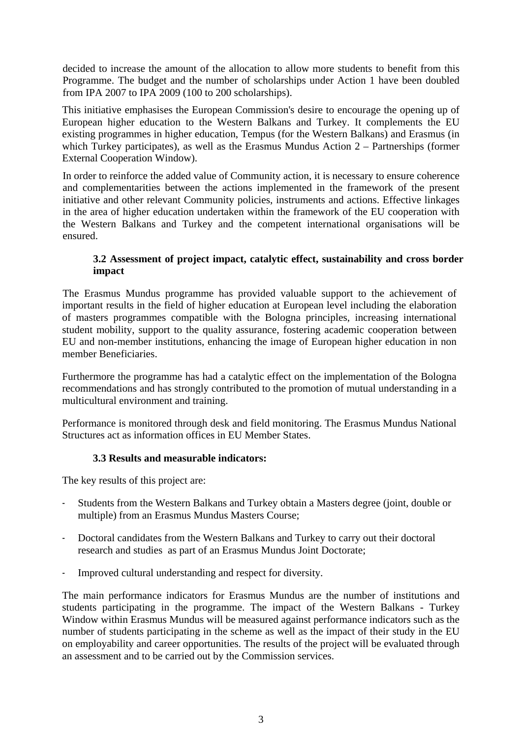decided to increase the amount of the allocation to allow more students to benefit from this Programme. The budget and the number of scholarships under Action 1 have been doubled from IPA 2007 to IPA 2009 (100 to 200 scholarships).

This initiative emphasises the European Commission's desire to encourage the opening up of European higher education to the Western Balkans and Turkey. It complements the EU existing programmes in higher education, Tempus (for the Western Balkans) and Erasmus (in which Turkey participates), as well as the Erasmus Mundus Action 2 – Partnerships (former External Cooperation Window).

In order to reinforce the added value of Community action, it is necessary to ensure coherence and complementarities between the actions implemented in the framework of the present initiative and other relevant Community policies, instruments and actions. Effective linkages in the area of higher education undertaken within the framework of the EU cooperation with the Western Balkans and Turkey and the competent international organisations will be ensured.

#### **3.2 Assessment of project impact, catalytic effect, sustainability and cross border impact**

The Erasmus Mundus programme has provided valuable support to the achievement of important results in the field of higher education at European level including the elaboration of masters programmes compatible with the Bologna principles, increasing international student mobility, support to the quality assurance, fostering academic cooperation between EU and non-member institutions, enhancing the image of European higher education in non member Beneficiaries.

Furthermore the programme has had a catalytic effect on the implementation of the Bologna recommendations and has strongly contributed to the promotion of mutual understanding in a multicultural environment and training.

Performance is monitored through desk and field monitoring. The Erasmus Mundus National Structures act as information offices in EU Member States.

### **3.3 Results and measurable indicators:**

The key results of this project are:

- Students from the Western Balkans and Turkey obtain a Masters degree (joint, double or multiple) from an Erasmus Mundus Masters Course;
- Doctoral candidates from the Western Balkans and Turkey to carry out their doctoral research and studies as part of an Erasmus Mundus Joint Doctorate;
- Improved cultural understanding and respect for diversity.

The main performance indicators for Erasmus Mundus are the number of institutions and students participating in the programme. The impact of the Western Balkans - Turkey Window within Erasmus Mundus will be measured against performance indicators such as the number of students participating in the scheme as well as the impact of their study in the EU on employability and career opportunities. The results of the project will be evaluated through an assessment and to be carried out by the Commission services.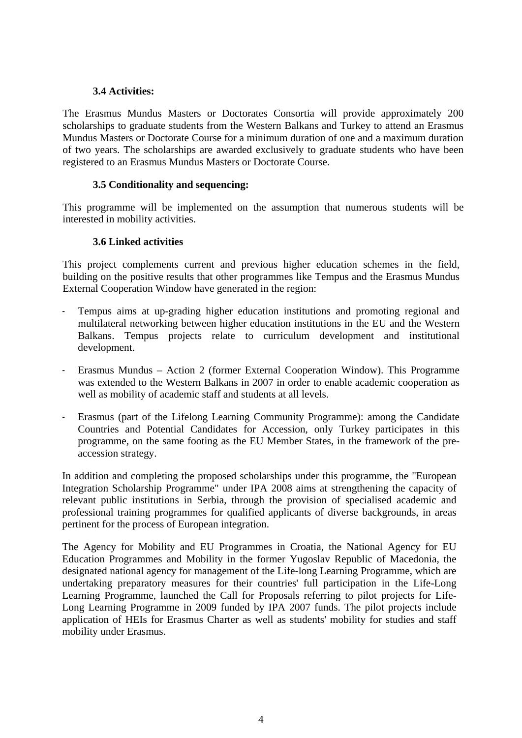#### **3.4 Activities:**

The Erasmus Mundus Masters or Doctorates Consortia will provide approximately 200 scholarships to graduate students from the Western Balkans and Turkey to attend an Erasmus Mundus Masters or Doctorate Course for a minimum duration of one and a maximum duration of two years. The scholarships are awarded exclusively to graduate students who have been registered to an Erasmus Mundus Masters or Doctorate Course.

#### **3.5 Conditionality and sequencing:**

This programme will be implemented on the assumption that numerous students will be interested in mobility activities.

#### **3.6 Linked activities**

This project complements current and previous higher education schemes in the field, building on the positive results that other programmes like Tempus and the Erasmus Mundus External Cooperation Window have generated in the region:

- Tempus aims at up-grading higher education institutions and promoting regional and multilateral networking between higher education institutions in the EU and the Western Balkans. Tempus projects relate to curriculum development and institutional development.
- Erasmus Mundus Action 2 (former External Cooperation Window). This Programme was extended to the Western Balkans in 2007 in order to enable academic cooperation as well as mobility of academic staff and students at all levels.
- Erasmus (part of the Lifelong Learning Community Programme): among the Candidate Countries and Potential Candidates for Accession, only Turkey participates in this programme, on the same footing as the EU Member States, in the framework of the preaccession strategy.

In addition and completing the proposed scholarships under this programme, the "European Integration Scholarship Programme" under IPA 2008 aims at strengthening the capacity of relevant public institutions in Serbia, through the provision of specialised academic and professional training programmes for qualified applicants of diverse backgrounds, in areas pertinent for the process of European integration.

The Agency for Mobility and EU Programmes in Croatia, the National Agency for EU Education Programmes and Mobility in the former Yugoslav Republic of Macedonia, the designated national agency for management of the Life-long Learning Programme, which are undertaking preparatory measures for their countries' full participation in the Life-Long Learning Programme, launched the Call for Proposals referring to pilot projects for Life-Long Learning Programme in 2009 funded by IPA 2007 funds. The pilot projects include application of HEIs for Erasmus Charter as well as students' mobility for studies and staff mobility under Erasmus.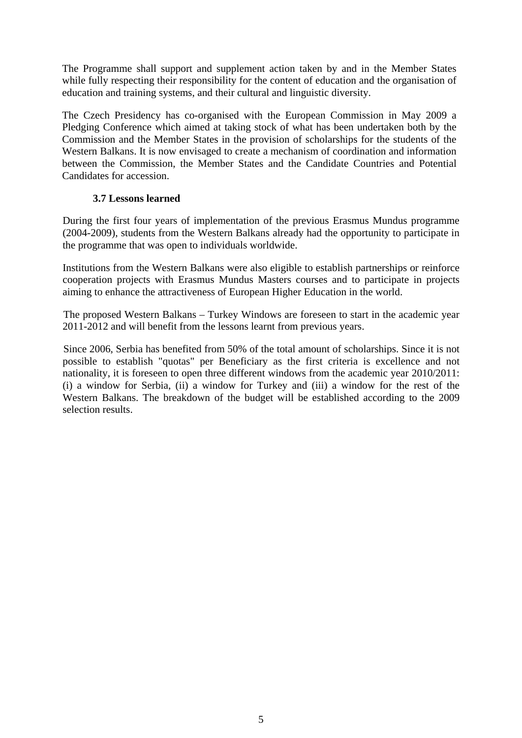The Programme shall support and supplement action taken by and in the Member States while fully respecting their responsibility for the content of education and the organisation of education and training systems, and their cultural and linguistic diversity.

The Czech Presidency has co-organised with the European Commission in May 2009 a Pledging Conference which aimed at taking stock of what has been undertaken both by the Commission and the Member States in the provision of scholarships for the students of the Western Balkans. It is now envisaged to create a mechanism of coordination and information between the Commission, the Member States and the Candidate Countries and Potential Candidates for accession.

#### **3.7 Lessons learned**

During the first four years of implementation of the previous Erasmus Mundus programme (2004-2009), students from the Western Balkans already had the opportunity to participate in the programme that was open to individuals worldwide.

Institutions from the Western Balkans were also eligible to establish partnerships or reinforce cooperation projects with Erasmus Mundus Masters courses and to participate in projects aiming to enhance the attractiveness of European Higher Education in the world.

The proposed Western Balkans – Turkey Windows are foreseen to start in the academic year 2011-2012 and will benefit from the lessons learnt from previous years.

Since 2006, Serbia has benefited from 50% of the total amount of scholarships. Since it is not possible to establish "quotas" per Beneficiary as the first criteria is excellence and not nationality, it is foreseen to open three different windows from the academic year 2010/2011: (i) a window for Serbia, (ii) a window for Turkey and (iii) a window for the rest of the Western Balkans. The breakdown of the budget will be established according to the 2009 selection results.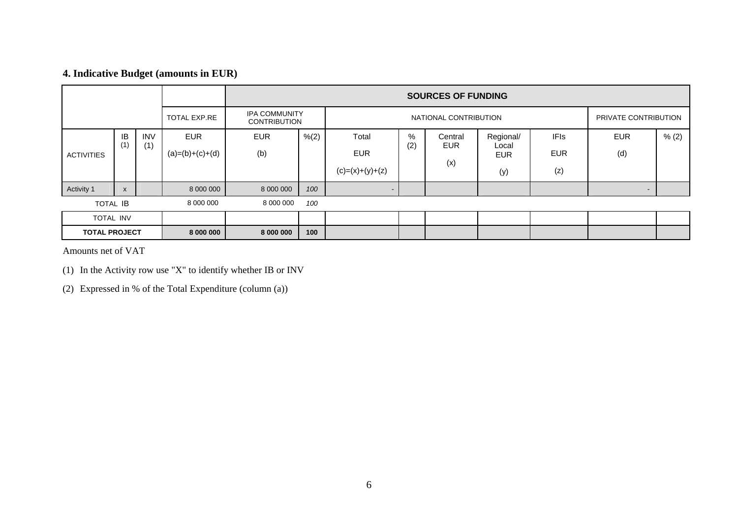# **4. Indicative Budget (amounts in EUR)**

|                      |                           |              | <b>SOURCES OF FUNDING</b>                   |            |                       |                   |     |                       |                      |             |                          |       |
|----------------------|---------------------------|--------------|---------------------------------------------|------------|-----------------------|-------------------|-----|-----------------------|----------------------|-------------|--------------------------|-------|
|                      |                           | TOTAL EXP.RE | <b>IPA COMMUNITY</b><br><b>CONTRIBUTION</b> |            | NATIONAL CONTRIBUTION |                   |     |                       | PRIVATE CONTRIBUTION |             |                          |       |
|                      | IB<br>(1)                 | <b>INV</b>   | <b>EUR</b>                                  | <b>EUR</b> | % (2)                 | Total             | %   | Central<br><b>EUR</b> | Regional/            | <b>IFIs</b> | <b>EUR</b>               | % (2) |
| <b>ACTIVITIES</b>    |                           | (1)          | $(a)=(b)+(c)+(d)$                           | (b)        |                       | <b>EUR</b>        | (2) |                       | Local<br><b>EUR</b>  | <b>EUR</b>  | (d)                      |       |
|                      |                           |              |                                             |            |                       | $(c)=(x)+(y)+(z)$ |     | (x)                   | (y)                  | (z)         |                          |       |
| Activity 1           | $\boldsymbol{\mathsf{x}}$ |              | 8 000 000                                   | 8 000 000  | 100                   | $\blacksquare$    |     |                       |                      |             | $\overline{\phantom{a}}$ |       |
| <b>TOTAL IB</b>      |                           | 8 000 000    | 8 000 000                                   | 100        |                       |                   |     |                       |                      |             |                          |       |
| TOTAL INV            |                           |              |                                             |            |                       |                   |     |                       |                      |             |                          |       |
| <b>TOTAL PROJECT</b> |                           | 8 000 000    | 8 000 000                                   | 100        |                       |                   |     |                       |                      |             |                          |       |

Amounts net of VAT

(1) In the Activity row use "X" to identify whether IB or INV

(2) Expressed in % of the Total Expenditure (column (a))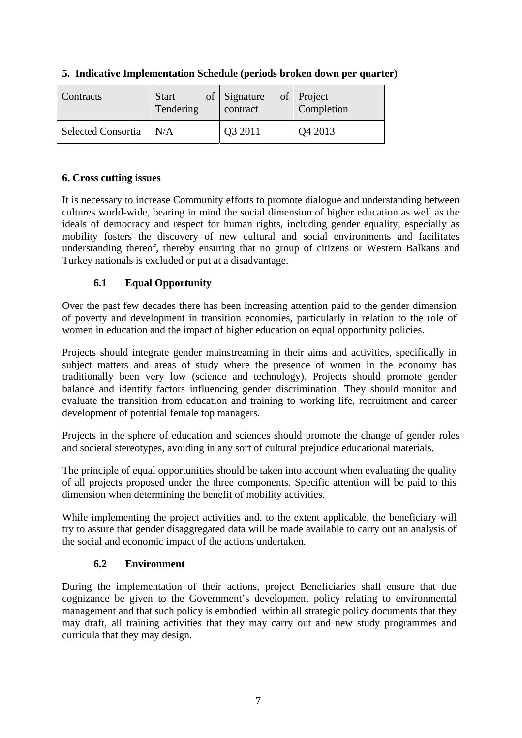| <b>Contracts</b>          | <b>Start</b>            | of Signature | of Project |
|---------------------------|-------------------------|--------------|------------|
|                           | Tendering               | contract     | Completion |
| <b>Selected Consortia</b> | $\mathsf{N}/\mathsf{A}$ | Q3 2011      | Q4 2013    |

### **5. Indicative Implementation Schedule (periods broken down per quarter)**

### **6. Cross cutting issues**

It is necessary to increase Community efforts to promote dialogue and understanding between cultures world-wide, bearing in mind the social dimension of higher education as well as the ideals of democracy and respect for human rights, including gender equality, especially as mobility fosters the discovery of new cultural and social environments and facilitates understanding thereof, thereby ensuring that no group of citizens or Western Balkans and Turkey nationals is excluded or put at a disadvantage.

### **6.1 Equal Opportunity**

Over the past few decades there has been increasing attention paid to the gender dimension of poverty and development in transition economies, particularly in relation to the role of women in education and the impact of higher education on equal opportunity policies.

Projects should integrate gender mainstreaming in their aims and activities, specifically in subject matters and areas of study where the presence of women in the economy has traditionally been very low (science and technology). Projects should promote gender balance and identify factors influencing gender discrimination. They should monitor and evaluate the transition from education and training to working life, recruitment and career development of potential female top managers.

Projects in the sphere of education and sciences should promote the change of gender roles and societal stereotypes, avoiding in any sort of cultural prejudice educational materials.

The principle of equal opportunities should be taken into account when evaluating the quality of all projects proposed under the three components. Specific attention will be paid to this dimension when determining the benefit of mobility activities.

While implementing the project activities and, to the extent applicable, the beneficiary will try to assure that gender disaggregated data will be made available to carry out an analysis of the social and economic impact of the actions undertaken.

### **6.2 Environment**

During the implementation of their actions, project Beneficiaries shall ensure that due cognizance be given to the Government's development policy relating to environmental management and that such policy is embodied within all strategic policy documents that they may draft, all training activities that they may carry out and new study programmes and curricula that they may design.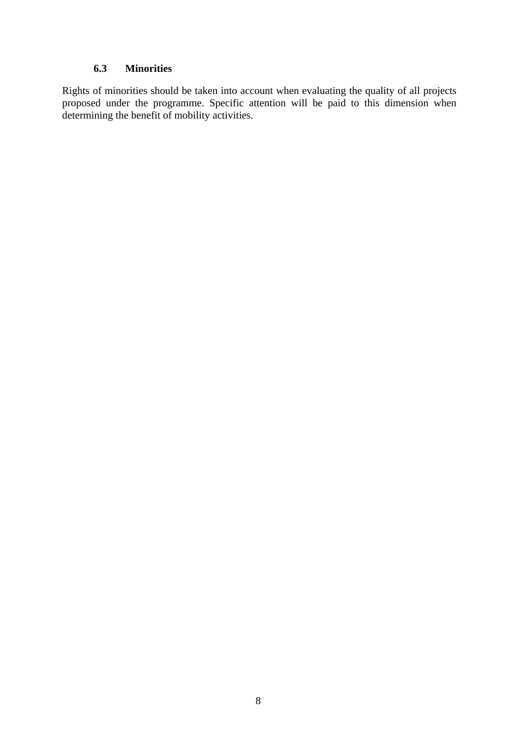#### **6.3 Minorities**

Rights of minorities should be taken into account when evaluating the quality of all projects proposed under the programme. Specific attention will be paid to this dimension when determining the benefit of mobility activities.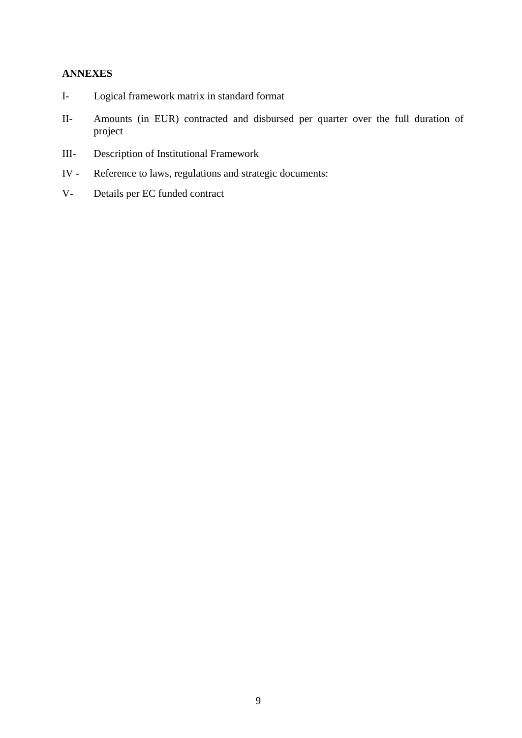### **ANNEXES**

- I- Logical framework matrix in standard format
- II- Amounts (in EUR) contracted and disbursed per quarter over the full duration of project
- III- Description of Institutional Framework
- IV Reference to laws, regulations and strategic documents:
- V- Details per EC funded contract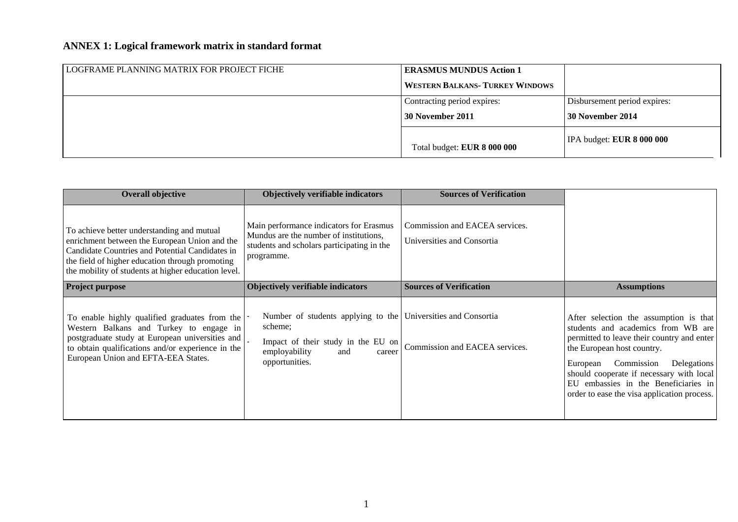# **ANNEX 1: Logical framework matrix in standard format**

| LOGFRAME PLANNING MATRIX FOR PROJECT FICHE | <b>ERASMUS MUNDUS Action 1</b>         |                              |
|--------------------------------------------|----------------------------------------|------------------------------|
|                                            | <b>WESTERN BALKANS- TURKEY WINDOWS</b> |                              |
|                                            | Contracting period expires:            | Disbursement period expires: |
|                                            | 30 November 2011                       | <b>30 November 2014</b>      |
|                                            | Total budget: EUR 8 000 000            | IPA budget: EUR 8 000 000    |

| <b>Overall objective</b>                                                                                                                                                                                                                                 | Objectively verifiable indicators                                                                                                                                  | <b>Sources of Verification</b>                               |                                                                                                                                                                                                                                                                                                                                      |
|----------------------------------------------------------------------------------------------------------------------------------------------------------------------------------------------------------------------------------------------------------|--------------------------------------------------------------------------------------------------------------------------------------------------------------------|--------------------------------------------------------------|--------------------------------------------------------------------------------------------------------------------------------------------------------------------------------------------------------------------------------------------------------------------------------------------------------------------------------------|
| To achieve better understanding and mutual<br>enrichment between the European Union and the<br>Candidate Countries and Potential Candidates in<br>the field of higher education through promoting<br>the mobility of students at higher education level. | Main performance indicators for Erasmus<br>Mundus are the number of institutions,<br>students and scholars participating in the<br>programme.                      | Commission and EACEA services.<br>Universities and Consortia |                                                                                                                                                                                                                                                                                                                                      |
| <b>Project purpose</b>                                                                                                                                                                                                                                   | <b>Objectively verifiable indicators</b>                                                                                                                           | <b>Sources of Verification</b>                               | <b>Assumptions</b>                                                                                                                                                                                                                                                                                                                   |
| To enable highly qualified graduates from the<br>Western Balkans and Turkey to engage in<br>postgraduate study at European universities and<br>to obtain qualifications and/or experience in the<br>European Union and EFTA-EEA States.                  | Number of students applying to the Universities and Consortia<br>scheme;<br>Impact of their study in the EU on<br>employability<br>and<br>career<br>opportunities. | Commission and EACEA services.                               | After selection the assumption is that<br>students and academics from WB are<br>permitted to leave their country and enter<br>the European host country.<br>Commission<br>Delegations<br>European<br>should cooperate if necessary with local<br>EU embassies in the Beneficiaries in<br>order to ease the visa application process. |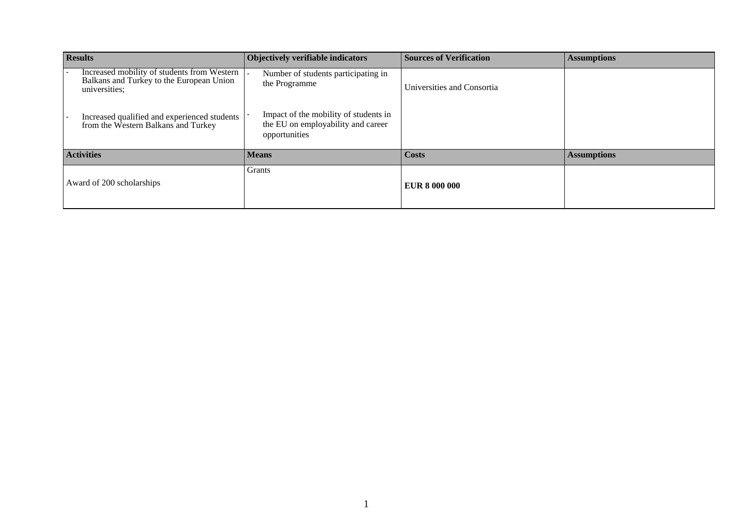| <b>Results</b>            |                                                                                                          | Objectively verifiable indicators                                                            | <b>Sources of Verification</b> | <b>Assumptions</b> |
|---------------------------|----------------------------------------------------------------------------------------------------------|----------------------------------------------------------------------------------------------|--------------------------------|--------------------|
|                           | Increased mobility of students from Western<br>Balkans and Turkey to the European Union<br>universities; | Number of students participating in<br>the Programme                                         | Universities and Consortia     |                    |
|                           | Increased qualified and experienced students<br>from the Western Balkans and Turkey                      | Impact of the mobility of students in<br>the EU on employability and career<br>opportunities |                                |                    |
| <b>Activities</b>         |                                                                                                          | <b>Means</b>                                                                                 | <b>Costs</b>                   | <b>Assumptions</b> |
| Award of 200 scholarships |                                                                                                          | Grants                                                                                       | EUR 8 000 000                  |                    |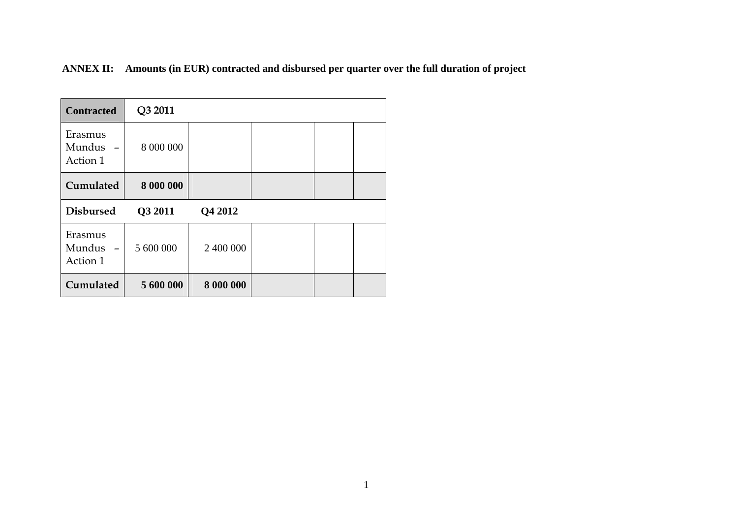**ANNEX II: Amounts (in EUR) contracted and disbursed per quarter over the full duration of project** 

| <b>Contracted</b>             | Q3 2011   |           |  |  |
|-------------------------------|-----------|-----------|--|--|
| Erasmus<br>Mundus<br>Action 1 | 8 000 000 |           |  |  |
| Cumulated                     | 8 000 000 |           |  |  |
| <b>Disbursed</b>              | Q3 2011   | Q4 2012   |  |  |
| Erasmus<br>Mundus<br>Action 1 | 5 600 000 | 2 400 000 |  |  |
| Cumulated                     | 5 600 000 | 8 000 000 |  |  |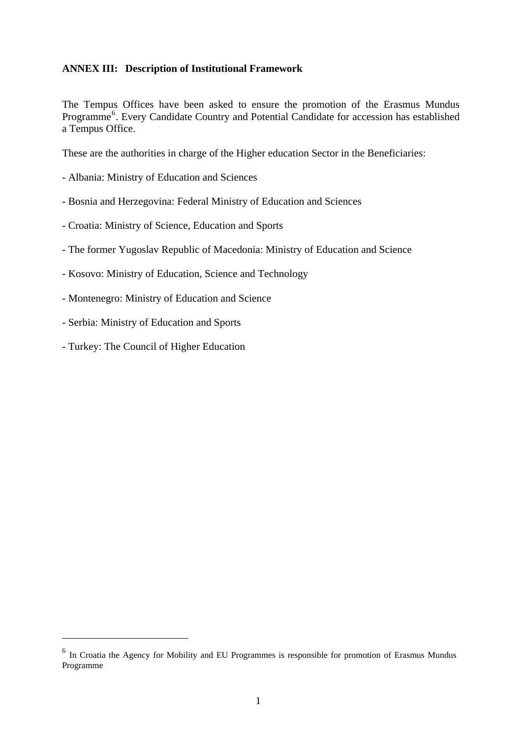#### <span id="page-12-0"></span>**ANNEX III: Description of Institutional Framework**

The Tempus Offices have been asked to ensure the promotion of the Erasmus Mundus Programme<sup>[6](#page-12-0)</sup>. Every Candidate Country and Potential Candidate for accession has established a Tempus Office.

These are the authorities in charge of the Higher education Sector in the Beneficiaries:

- Albania: Ministry of Education and Sciences
- Bosnia and Herzegovina: Federal Ministry of Education and Sciences
- Croatia: Ministry of Science, Education and Sports
- The former Yugoslav Republic of Macedonia: Ministry of Education and Science
- Kosovo: Ministry of Education, Science and Technology
- Montenegro: Ministry of Education and Science
- Serbia: Ministry of Education and Sports
- Turkey: The Council of Higher Education

1

<sup>6</sup> In Croatia the Agency for Mobility and EU Programmes is responsible for promotion of Erasmus Mundus Programme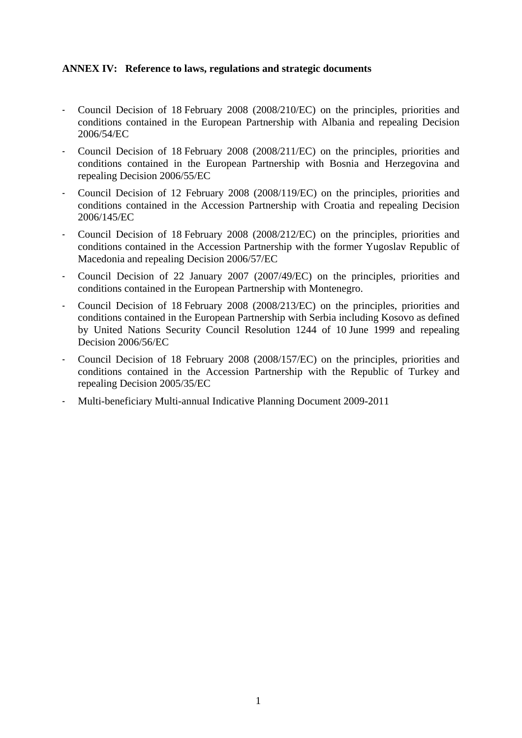#### **ANNEX IV: Reference to laws, regulations and strategic documents**

- Council Decision of 18 February 2008 (2008/210/EC) on the principles, priorities and conditions contained in the European Partnership with Albania and repealing Decision 2006/54/EC
- Council Decision of 18 February 2008 (2008/211/EC) on the principles, priorities and conditions contained in the European Partnership with Bosnia and Herzegovina and repealing Decision 2006/55/EC
- Council Decision of 12 February 2008 (2008/119/EC) on the principles, priorities and conditions contained in the Accession Partnership with Croatia and repealing Decision 2006/145/EC
- Council Decision of 18 February 2008 (2008/212/EC) on the principles, priorities and conditions contained in the Accession Partnership with the former Yugoslav Republic of Macedonia and repealing Decision 2006/57/EC
- Council Decision of 22 January 2007 (2007/49/EC) on the principles, priorities and conditions contained in the European Partnership with Montenegro.
- Council Decision of 18 February 2008 (2008/213/EC) on the principles, priorities and conditions contained in the European Partnership with Serbia including Kosovo as defined by United Nations Security Council Resolution 1244 of 10 June 1999 and repealing Decision 2006/56/EC
- Council Decision of 18 February 2008 (2008/157/EC) on the principles, priorities and conditions contained in the Accession Partnership with the Republic of Turkey and repealing Decision 2005/35/EC
- Multi-beneficiary Multi-annual Indicative Planning Document 2009-2011